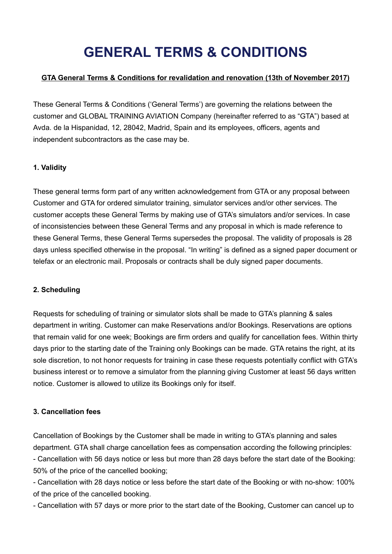# **GENERAL TERMS & CONDITIONS**

### **GTA General Terms & Conditions for revalidation and renovation (13th of November 2017)**

These General Terms & Conditions ('General Terms') are governing the relations between the customer and GLOBAL TRAINING AVIATION Company (hereinafter referred to as "GTA") based at Avda. de la Hispanidad, 12, 28042, Madrid, Spain and its employees, officers, agents and independent subcontractors as the case may be.

## **1. Validity**

These general terms form part of any written acknowledgement from GTA or any proposal between Customer and GTA for ordered simulator training, simulator services and/or other services. The customer accepts these General Terms by making use of GTA's simulators and/or services. In case of inconsistencies between these General Terms and any proposal in which is made reference to these General Terms, these General Terms supersedes the proposal. The validity of proposals is 28 days unless specified otherwise in the proposal. "In writing" is defined as a signed paper document or telefax or an electronic mail. Proposals or contracts shall be duly signed paper documents.

#### **2. Scheduling**

Requests for scheduling of training or simulator slots shall be made to GTA's planning & sales department in writing. Customer can make Reservations and/or Bookings. Reservations are options that remain valid for one week; Bookings are firm orders and qualify for cancellation fees. Within thirty days prior to the starting date of the Training only Bookings can be made. GTA retains the right, at its sole discretion, to not honor requests for training in case these requests potentially conflict with GTA's business interest or to remove a simulator from the planning giving Customer at least 56 days written notice. Customer is allowed to utilize its Bookings only for itself.

#### **3. Cancellation fees**

Cancellation of Bookings by the Customer shall be made in writing to GTA's planning and sales department. GTA shall charge cancellation fees as compensation according the following principles:

- Cancellation with 56 days notice or less but more than 28 days before the start date of the Booking: 50% of the price of the cancelled booking;

- Cancellation with 28 days notice or less before the start date of the Booking or with no-show: 100% of the price of the cancelled booking.

- Cancellation with 57 days or more prior to the start date of the Booking, Customer can cancel up to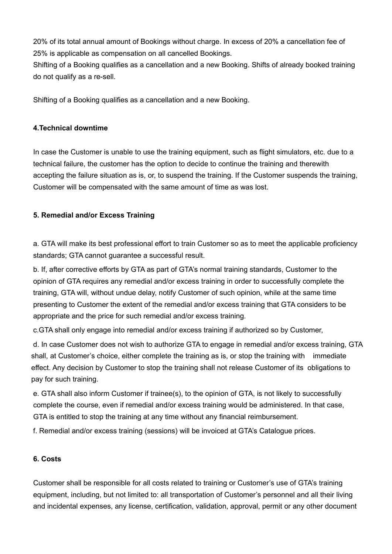20% of its total annual amount of Bookings without charge. In excess of 20% a cancellation fee of 25% is applicable as compensation on all cancelled Bookings.

Shifting of a Booking qualifies as a cancellation and a new Booking. Shifts of already booked training do not qualify as a re-sell.

Shifting of a Booking qualifies as a cancellation and a new Booking.

## **4.Technical downtime**

In case the Customer is unable to use the training equipment, such as flight simulators, etc. due to a technical failure, the customer has the option to decide to continue the training and therewith accepting the failure situation as is, or, to suspend the training. If the Customer suspends the training, Customer will be compensated with the same amount of time as was lost.

# **5. Remedial and/or Excess Training**

a. GTA will make its best professional effort to train Customer so as to meet the applicable proficiency standards; GTA cannot guarantee a successful result.

b. If, after corrective efforts by GTA as part of GTA's normal training standards, Customer to the opinion of GTA requires any remedial and/or excess training in order to successfully complete the training, GTA will, without undue delay, notify Customer of such opinion, while at the same time presenting to Customer the extent of the remedial and/or excess training that GTA considers to be appropriate and the price for such remedial and/or excess training.

c.GTA shall only engage into remedial and/or excess training if authorized so by Customer,

 d. In case Customer does not wish to authorize GTA to engage in remedial and/or excess training, GTA shall, at Customer's choice, either complete the training as is, or stop the training with immediate effect. Any decision by Customer to stop the training shall not release Customer of its obligations to pay for such training.

e. GTA shall also inform Customer if trainee(s), to the opinion of GTA, is not likely to successfully complete the course, even if remedial and/or excess training would be administered. In that case, GTA is entitled to stop the training at any time without any financial reimbursement.

f. Remedial and/or excess training (sessions) will be invoiced at GTA's Catalogue prices.

# **6. Costs**

Customer shall be responsible for all costs related to training or Customer's use of GTA's training equipment, including, but not limited to: all transportation of Customer's personnel and all their living and incidental expenses, any license, certification, validation, approval, permit or any other document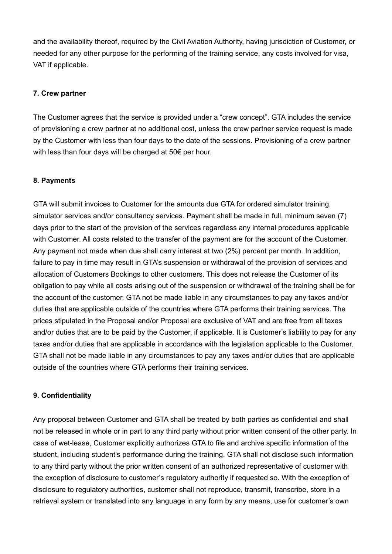and the availability thereof, required by the Civil Aviation Authority, having jurisdiction of Customer, or needed for any other purpose for the performing of the training service, any costs involved for visa, VAT if applicable.

## **7. Crew partner**

The Customer agrees that the service is provided under a "crew concept". GTA includes the service of provisioning a crew partner at no additional cost, unless the crew partner service request is made by the Customer with less than four days to the date of the sessions. Provisioning of a crew partner with less than four days will be charged at 50€ per hour.

## **8. Payments**

GTA will submit invoices to Customer for the amounts due GTA for ordered simulator training, simulator services and/or consultancy services. Payment shall be made in full, minimum seven (7) days prior to the start of the provision of the services regardless any internal procedures applicable with Customer. All costs related to the transfer of the payment are for the account of the Customer. Any payment not made when due shall carry interest at two (2%) percent per month. In addition, failure to pay in time may result in GTA's suspension or withdrawal of the provision of services and allocation of Customers Bookings to other customers. This does not release the Customer of its obligation to pay while all costs arising out of the suspension or withdrawal of the training shall be for the account of the customer. GTA not be made liable in any circumstances to pay any taxes and/or duties that are applicable outside of the countries where GTA performs their training services. The prices stipulated in the Proposal and/or Proposal are exclusive of VAT and are free from all taxes and/or duties that are to be paid by the Customer, if applicable. It is Customer's liability to pay for any taxes and/or duties that are applicable in accordance with the legislation applicable to the Customer. GTA shall not be made liable in any circumstances to pay any taxes and/or duties that are applicable outside of the countries where GTA performs their training services.

## **9. Confidentiality**

Any proposal between Customer and GTA shall be treated by both parties as confidential and shall not be released in whole or in part to any third party without prior written consent of the other party. In case of wet-lease, Customer explicitly authorizes GTA to file and archive specific information of the student, including student's performance during the training. GTA shall not disclose such information to any third party without the prior written consent of an authorized representative of customer with the exception of disclosure to customer's regulatory authority if requested so. With the exception of disclosure to regulatory authorities, customer shall not reproduce, transmit, transcribe, store in a retrieval system or translated into any language in any form by any means, use for customer's own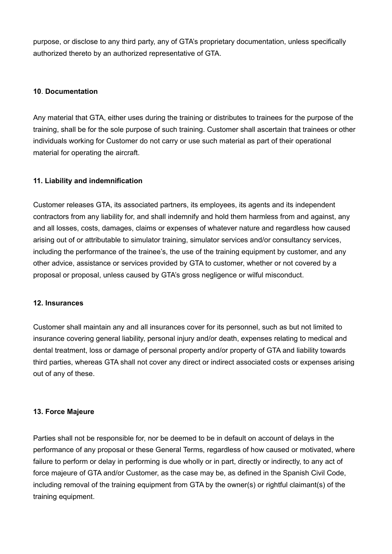purpose, or disclose to any third party, any of GTA's proprietary documentation, unless specifically authorized thereto by an authorized representative of GTA.

## **10**. **Documentation**

Any material that GTA, either uses during the training or distributes to trainees for the purpose of the training, shall be for the sole purpose of such training. Customer shall ascertain that trainees or other individuals working for Customer do not carry or use such material as part of their operational material for operating the aircraft.

## **11. Liability and indemnification**

Customer releases GTA, its associated partners, its employees, its agents and its independent contractors from any liability for, and shall indemnify and hold them harmless from and against, any and all losses, costs, damages, claims or expenses of whatever nature and regardless how caused arising out of or attributable to simulator training, simulator services and/or consultancy services, including the performance of the trainee's, the use of the training equipment by customer, and any other advice, assistance or services provided by GTA to customer, whether or not covered by a proposal or proposal, unless caused by GTA's gross negligence or wilful misconduct.

#### **12. Insurances**

Customer shall maintain any and all insurances cover for its personnel, such as but not limited to insurance covering general liability, personal injury and/or death, expenses relating to medical and dental treatment, loss or damage of personal property and/or property of GTA and liability towards third parties, whereas GTA shall not cover any direct or indirect associated costs or expenses arising out of any of these.

#### **13. Force Majeure**

Parties shall not be responsible for, nor be deemed to be in default on account of delays in the performance of any proposal or these General Terms, regardless of how caused or motivated, where failure to perform or delay in performing is due wholly or in part, directly or indirectly, to any act of force majeure of GTA and/or Customer, as the case may be, as defined in the Spanish Civil Code, including removal of the training equipment from GTA by the owner(s) or rightful claimant(s) of the training equipment.